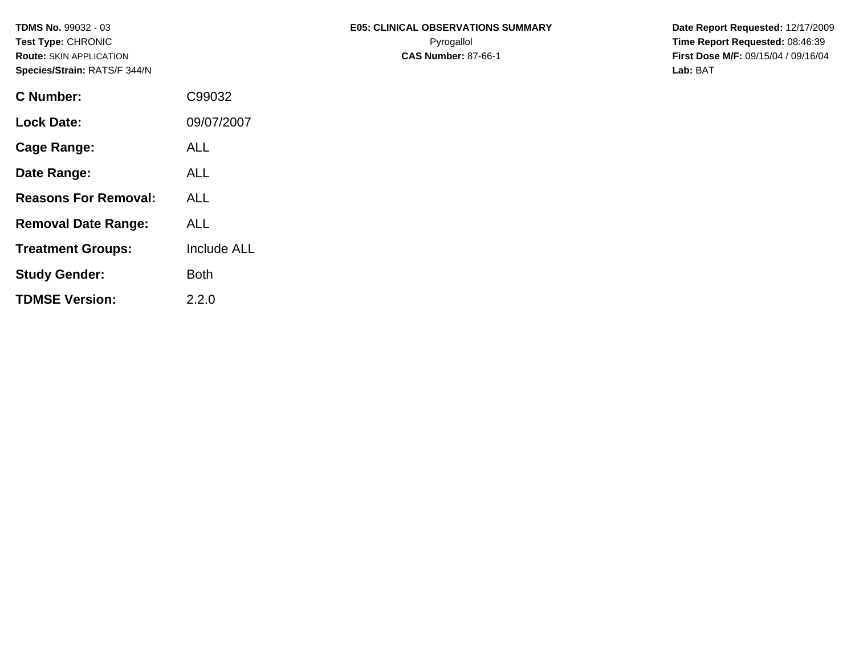| C Number:                   | C99032      |
|-----------------------------|-------------|
| Lock Date:                  | 09/07/2007  |
| <b>Cage Range:</b>          | <b>ALL</b>  |
| Date Range:                 | ALL         |
| <b>Reasons For Removal:</b> | ALL         |
| <b>Removal Date Range:</b>  | ALL         |
| <b>Treatment Groups:</b>    | Include ALL |
| <b>Study Gender:</b>        | Both        |
| <b>TDMSE Version:</b>       | 2.2.0       |

**Route:** SKIN APPLICATION **CAS Number:** 87-66-1 **First Dose M/F:** 09/15/04 / 09/16/04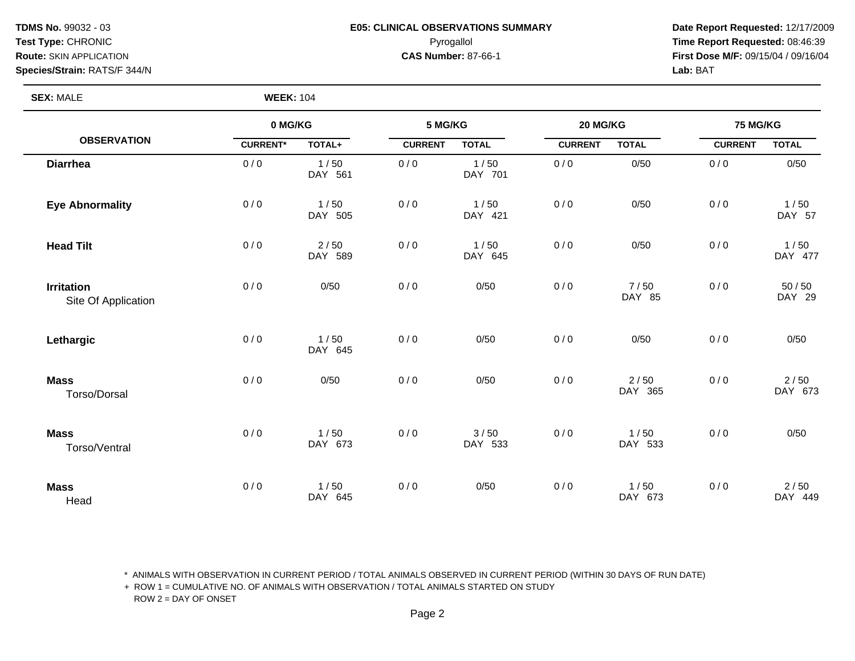#### **TDMS No.** 99032 - 03 **E05: CLINICAL OBSERVATIONS SUMMARY** Date Report Requested: 12/17/2009 **Test Type:** CHRONIC Pyrogallol **Time Report Requested:** 08:46:39 **Route:** SKIN APPLICATION **CAS Number:** 87-66-1 **First Dose M/F:** 09/15/04 / 09/16/04

**SEX: MALE** 

| <b>WEEK: 104</b> |  |
|------------------|--|
|------------------|--|

|                                          | 0 MG/KG         |                 | 5 MG/KG        |                 | 20 MG/KG       |                 | 75 MG/KG       |                   |
|------------------------------------------|-----------------|-----------------|----------------|-----------------|----------------|-----------------|----------------|-------------------|
| <b>OBSERVATION</b>                       | <b>CURRENT*</b> | TOTAL+          | <b>CURRENT</b> | <b>TOTAL</b>    | <b>CURRENT</b> | <b>TOTAL</b>    | <b>CURRENT</b> | <b>TOTAL</b>      |
| <b>Diarrhea</b>                          | 0/0             | 1/50<br>DAY 561 | 0/0            | 1/50<br>DAY 701 | 0/0            | 0/50            | 0/0            | 0/50              |
| <b>Eye Abnormality</b>                   | 0/0             | 1/50<br>DAY 505 | 0/0            | 1/50<br>DAY 421 | 0/0            | 0/50            | 0/0            | 1/50<br>DAY 57    |
| <b>Head Tilt</b>                         | 0/0             | 2/50<br>DAY 589 | 0/0            | 1/50<br>DAY 645 | 0/0            | 0/50            | 0/0            | 1/50<br>DAY 477   |
| <b>Irritation</b><br>Site Of Application | 0/0             | 0/50            | 0/0            | 0/50            | 0/0            | 7/50<br>DAY 85  | 0/0            | $50/50$<br>DAY 29 |
| Lethargic                                | 0/0             | 1/50<br>DAY 645 | 0/0            | 0/50            | 0/0            | 0/50            | 0/0            | 0/50              |
| <b>Mass</b><br>Torso/Dorsal              | 0/0             | 0/50            | 0/0            | 0/50            | 0/0            | 2/50<br>DAY 365 | 0/0            | 2/50<br>DAY 673   |
| <b>Mass</b><br>Torso/Ventral             | 0/0             | 1/50<br>DAY 673 | 0/0            | 3/50<br>DAY 533 | 0/0            | 1/50<br>DAY 533 | 0/0            | 0/50              |
| <b>Mass</b><br>Head                      | 0/0             | 1/50<br>DAY 645 | 0/0            | 0/50            | 0/0            | 1/50<br>DAY 673 | 0/0            | $2/50$<br>DAY 449 |

\* ANIMALS WITH OBSERVATION IN CURRENT PERIOD / TOTAL ANIMALS OBSERVED IN CURRENT PERIOD (WITHIN 30 DAYS OF RUN DATE)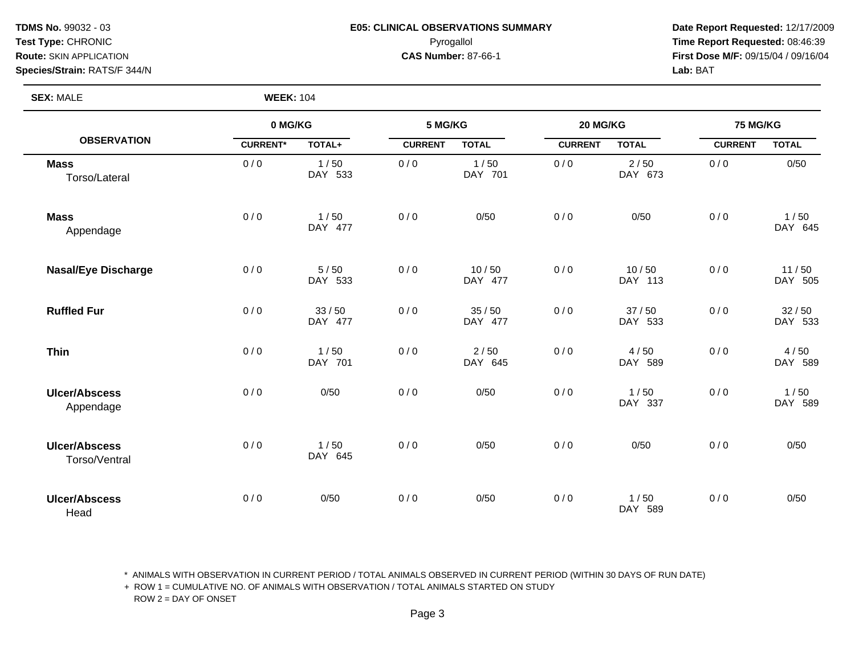#### **TDMS No.** 99032 - 03 **E05: CLINICAL OBSERVATIONS SUMMARY** Date Report Requested: 12/17/2009 **Test Type:** CHRONIC Pyrogallol **Time Report Requested:** 08:46:39 **Route:** SKIN APPLICATION **CAS Number:** 87-66-1 **First Dose M/F:** 09/15/04 / 09/16/04

**SEX:** MALE **WEEK:** 104

|                                       | 0 MG/KG         |                   | 5 MG/KG        |                  | 20 MG/KG       |                  | 75 MG/KG       |                  |
|---------------------------------------|-----------------|-------------------|----------------|------------------|----------------|------------------|----------------|------------------|
| <b>OBSERVATION</b>                    | <b>CURRENT*</b> | TOTAL+            | <b>CURRENT</b> | <b>TOTAL</b>     | <b>CURRENT</b> | <b>TOTAL</b>     | <b>CURRENT</b> | <b>TOTAL</b>     |
| <b>Mass</b><br>Torso/Lateral          | 0/0             | 1/50<br>DAY 533   | 0/0            | 1/50<br>DAY 701  | 0/0            | 2/50<br>DAY 673  | 0/0            | 0/50             |
| <b>Mass</b><br>Appendage              | 0/0             | 1/50<br>DAY 477   | 0/0            | 0/50             | 0/0            | 0/50             | 0/0            | 1/50<br>DAY 645  |
| <b>Nasal/Eye Discharge</b>            | 0/0             | $5/50$<br>DAY 533 | 0/0            | 10/50<br>DAY 477 | 0/0            | 10/50<br>DAY 113 | 0/0            | 11/50<br>DAY 505 |
| <b>Ruffled Fur</b>                    | 0/0             | 33/50<br>DAY 477  | 0/0            | 35/50<br>DAY 477 | 0/0            | 37/50<br>DAY 533 | 0/0            | 32/50<br>DAY 533 |
| <b>Thin</b>                           | 0/0             | 1/50<br>DAY 701   | 0/0            | 2/50<br>DAY 645  | 0/0            | 4/50<br>DAY 589  | 0/0            | 4/50<br>DAY 589  |
| <b>Ulcer/Abscess</b><br>Appendage     | 0/0             | 0/50              | 0/0            | 0/50             | 0/0            | 1/50<br>DAY 337  | 0/0            | 1/50<br>DAY 589  |
| <b>Ulcer/Abscess</b><br>Torso/Ventral | 0/0             | 1/50<br>DAY 645   | 0/0            | 0/50             | 0/0            | 0/50             | 0/0            | 0/50             |
| <b>Ulcer/Abscess</b><br>Head          | 0/0             | 0/50              | 0/0            | 0/50             | 0/0            | 1/50<br>DAY 589  | 0/0            | 0/50             |

\* ANIMALS WITH OBSERVATION IN CURRENT PERIOD / TOTAL ANIMALS OBSERVED IN CURRENT PERIOD (WITHIN 30 DAYS OF RUN DATE)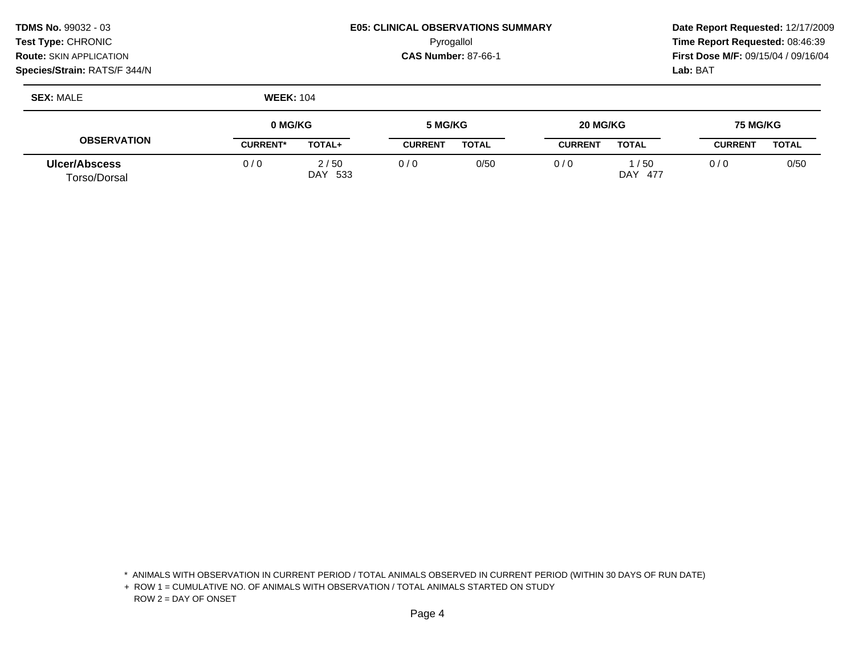| TDMS No. 99032 - 03            | <b>E05: CLINICAL OBSERVATIONS SUMMARY</b> | Date Rep         |
|--------------------------------|-------------------------------------------|------------------|
| Test Type: CHRONIC_            | Pyrogallol                                | Time Rep         |
| <b>Route: SKIN APPLICATION</b> | <b>CAS Number: 87-66-1</b>                | <b>First Dos</b> |
| Species/Strain: RATS/F 344/N   |                                           | <b>Lab: BAT</b>  |

**Ulcer/Abscess** Torso/Dorsal

0 / 0  $0/6$  0  $0/0$  1 / 50

DAY 477

Pyrogallol **Time Report Requested:** 08:46:39

0 / 0 0/50

**OBSERVATION 0 MG/KG CURRENT\* TOTAL+ 5 MG/KG CURRENT TOTAL 20 MG/KG CURRENT TOTAL 75 MG/KG CURRENT TOTAL SEX:** MALE **WEEK:** 104

 $0 / 0$  2/50

DAY 533

\* ANIMALS WITH OBSERVATION IN CURRENT PERIOD / TOTAL ANIMALS OBSERVED IN CURRENT PERIOD (WITHIN 30 DAYS OF RUN DATE)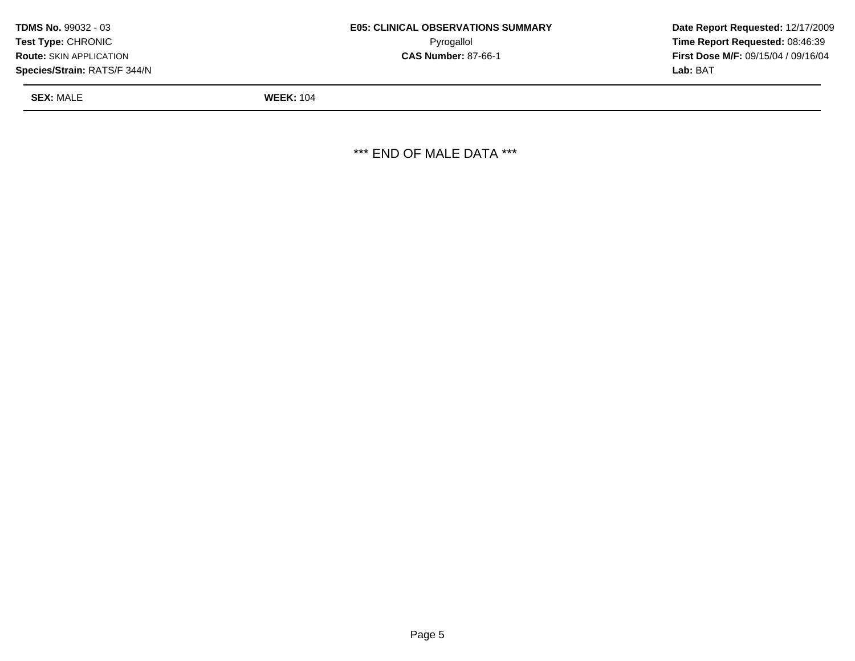| TDMS No. 99032 - 03            | <b>E05: CLINICAL OBSERVATIONS SUMMARY</b> | Date Rep         |
|--------------------------------|-------------------------------------------|------------------|
| Test Type: CHRONIC             | Pyrogallol                                | Time Rep         |
| <b>Route: SKIN APPLICATION</b> | <b>CAS Number: 87-66-1</b>                | <b>First Dos</b> |
| Species/Strain: RATS/F 344/N   |                                           | <b>Lab: BAT</b>  |

Pyrogallol **Time Report Requested:** 08:46:39

**SEX:** MALE **WEEK:** 104

\*\*\* END OF MALE DATA \*\*\*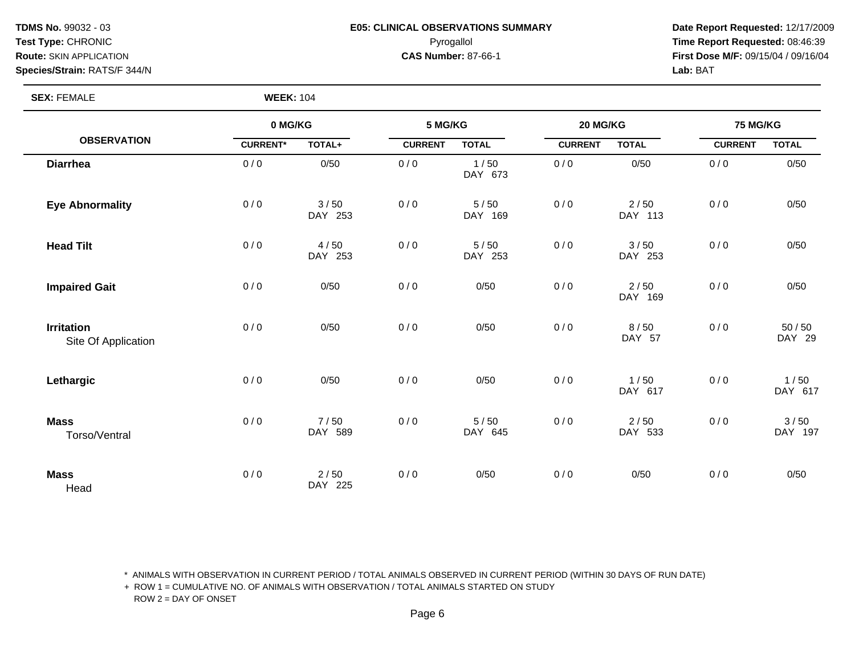#### **TDMS No.** 99032 - 03 **E05: CLINICAL OBSERVATIONS SUMMARY** Date Report Requested: 12/17/2009 **Test Type:** CHRONIC Pyrogallol **Time Report Requested:** 08:46:39 **Route:** SKIN APPLICATION **CAS Number:** 87-66-1 **First Dose M/F:** 09/15/04 / 09/16/04

**SEX:** FEMALE **WEEK:** 104

|                                          | 0 MG/KG         |                   | 5 MG/KG        |                 | 20 MG/KG       |                   | 75 MG/KG       |                   |
|------------------------------------------|-----------------|-------------------|----------------|-----------------|----------------|-------------------|----------------|-------------------|
| <b>OBSERVATION</b>                       | <b>CURRENT*</b> | TOTAL+            | <b>CURRENT</b> | <b>TOTAL</b>    | <b>CURRENT</b> | <b>TOTAL</b>      | <b>CURRENT</b> | <b>TOTAL</b>      |
| <b>Diarrhea</b>                          | 0/0             | 0/50              | 0/0            | 1/50<br>DAY 673 | 0/0            | 0/50              | 0/0            | 0/50              |
| <b>Eye Abnormality</b>                   | 0/0             | 3/50<br>DAY 253   | 0/0            | 5/50<br>DAY 169 | 0/0            | 2/50<br>DAY 113   | 0/0            | 0/50              |
| <b>Head Tilt</b>                         | 0/0             | 4/50<br>DAY 253   | 0/0            | 5/50<br>DAY 253 | 0/0            | 3/50<br>DAY 253   | 0/0            | 0/50              |
| <b>Impaired Gait</b>                     | 0/0             | 0/50              | 0/0            | 0/50            | 0/0            | 2/50<br>DAY 169   | 0/0            | 0/50              |
| <b>Irritation</b><br>Site Of Application | 0/0             | 0/50              | 0/0            | 0/50            | 0/0            | 8/50<br>DAY 57    | 0/0            | $50/50$<br>DAY 29 |
| Lethargic                                | 0/0             | 0/50              | 0/0            | 0/50            | 0/0            | 1/50<br>DAY 617   | 0/0            | 1/50<br>DAY 617   |
| <b>Mass</b><br>Torso/Ventral             | 0/0             | 7/50<br>DAY 589   | 0/0            | 5/50<br>DAY 645 | 0/0            | $2/50$<br>DAY 533 | 0/0            | 3/50<br>DAY 197   |
| <b>Mass</b><br>Head                      | 0/0             | $2/50$<br>DAY 225 | 0/0            | 0/50            | 0/0            | 0/50              | 0/0            | 0/50              |

\* ANIMALS WITH OBSERVATION IN CURRENT PERIOD / TOTAL ANIMALS OBSERVED IN CURRENT PERIOD (WITHIN 30 DAYS OF RUN DATE)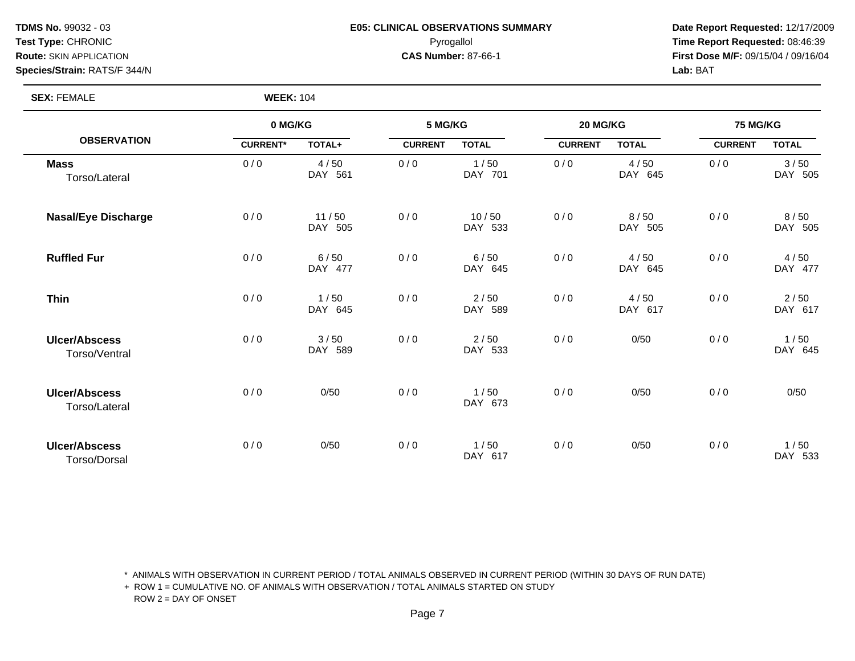#### **TDMS No.** 99032 - 03 **E05: CLINICAL OBSERVATIONS SUMMARY** Date Report Requested: 12/17/2009 **Test Type:** CHRONIC Pyrogallol **Time Report Requested:** 08:46:39 **Route:** SKIN APPLICATION **CAS Number:** 87-66-1 **First Dose M/F:** 09/15/04 / 09/16/04

**SEX:** FEMALE **WEEK:** 104

|                                       | 0 MG/KG         |                  | 5 MG/KG        |                  | 20 MG/KG       |                 | <b>75 MG/KG</b> |                 |
|---------------------------------------|-----------------|------------------|----------------|------------------|----------------|-----------------|-----------------|-----------------|
| <b>OBSERVATION</b>                    | <b>CURRENT*</b> | TOTAL+           | <b>CURRENT</b> | <b>TOTAL</b>     | <b>CURRENT</b> | <b>TOTAL</b>    | <b>CURRENT</b>  | <b>TOTAL</b>    |
| <b>Mass</b><br>Torso/Lateral          | 0/0             | 4/50<br>DAY 561  | 0/0            | 1/50<br>DAY 701  | 0/0            | 4/50<br>DAY 645 | 0/0             | 3/50<br>DAY 505 |
| <b>Nasal/Eye Discharge</b>            | 0/0             | 11/50<br>DAY 505 | 0/0            | 10/50<br>DAY 533 | 0/0            | 8/50<br>DAY 505 | 0/0             | 8/50<br>DAY 505 |
| <b>Ruffled Fur</b>                    | 0/0             | 6/50<br>DAY 477  | 0/0            | 6/50<br>DAY 645  | 0/0            | 4/50<br>DAY 645 | 0/0             | 4/50<br>DAY 477 |
| <b>Thin</b>                           | 0/0             | 1/50<br>DAY 645  | 0/0            | 2/50<br>DAY 589  | 0/0            | 4/50<br>DAY 617 | 0/0             | 2/50<br>DAY 617 |
| <b>Ulcer/Abscess</b><br>Torso/Ventral | 0/0             | 3/50<br>DAY 589  | 0/0            | 2/50<br>DAY 533  | 0/0            | 0/50            | 0/0             | 1/50<br>DAY 645 |
| <b>Ulcer/Abscess</b><br>Torso/Lateral | 0/0             | 0/50             | 0/0            | 1/50<br>DAY 673  | 0/0            | 0/50            | 0/0             | 0/50            |
| <b>Ulcer/Abscess</b><br>Torso/Dorsal  | 0/0             | 0/50             | 0/0            | 1/50<br>DAY 617  | 0/0            | 0/50            | 0/0             | 1/50<br>DAY 533 |

\* ANIMALS WITH OBSERVATION IN CURRENT PERIOD / TOTAL ANIMALS OBSERVED IN CURRENT PERIOD (WITHIN 30 DAYS OF RUN DATE)